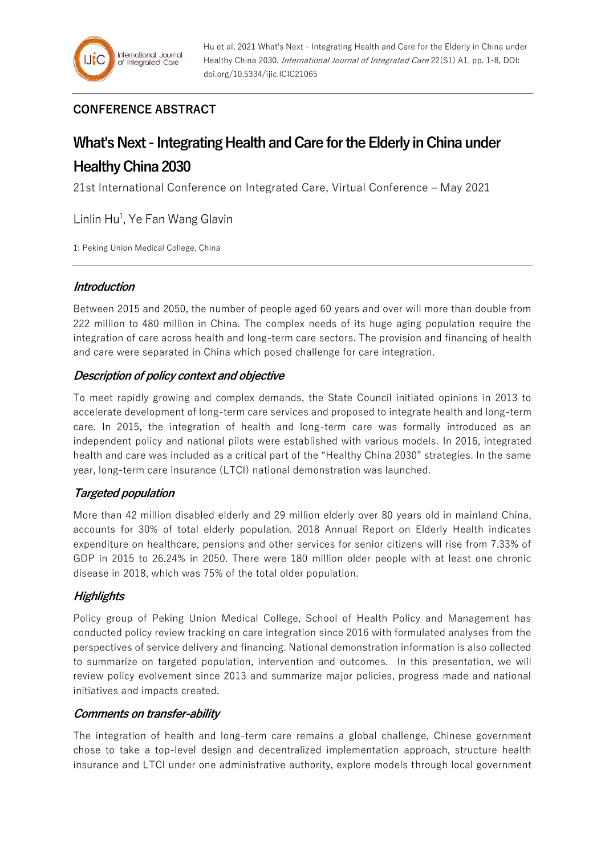# **CONFERENCE ABSTRACT**

# **What's Next - Integrating Health and Care for the Elderly in China under Healthy China 2030**

21st International Conference on Integrated Care, Virtual Conference – May 2021

Linlin Hu<sup>1</sup>, Ye Fan Wang Glavin

1: Peking Union Medical College, China

#### **Introduction**

Between 2015 and 2050, the number of people aged 60 years and over will more than double from 222 million to 480 million in China. The complex needs of its huge aging population require the integration of care across health and long-term care sectors. The provision and financing of health and care were separated in China which posed challenge for care integration.

### **Description of policy context and objective**

To meet rapidly growing and complex demands, the State Council initiated opinions in 2013 to accelerate development of long-term care services and proposed to integrate health and long-term care. In 2015, the integration of health and long-term care was formally introduced as an independent policy and national pilots were established with various models. In 2016, integrated health and care was included as a critical part of the "Healthy China 2030" strategies. In the same year, long-term care insurance (LTCI) national demonstration was launched.

# **Targeted population**

More than 42 million disabled elderly and 29 million elderly over 80 years old in mainland China, accounts for 30% of total elderly population. 2018 Annual Report on Elderly Health indicates expenditure on healthcare, pensions and other services for senior citizens will rise from 7.33% of GDP in 2015 to 26.24% in 2050. There were 180 million older people with at least one chronic disease in 2018, which was 75% of the total older population.

# **Highlights**

Policy group of Peking Union Medical College, School of Health Policy and Management has conducted policy review tracking on care integration since 2016 with formulated analyses from the perspectives of service delivery and financing. National demonstration information is also collected to summarize on targeted population, intervention and outcomes. In this presentation, we will review policy evolvement since 2013 and summarize major policies, progress made and national initiatives and impacts created.

#### **Comments on transfer-ability**

The integration of health and long-term care remains a global challenge, Chinese government chose to take a top-level design and decentralized implementation approach, structure health insurance and LTCI under one administrative authority, explore models through local government